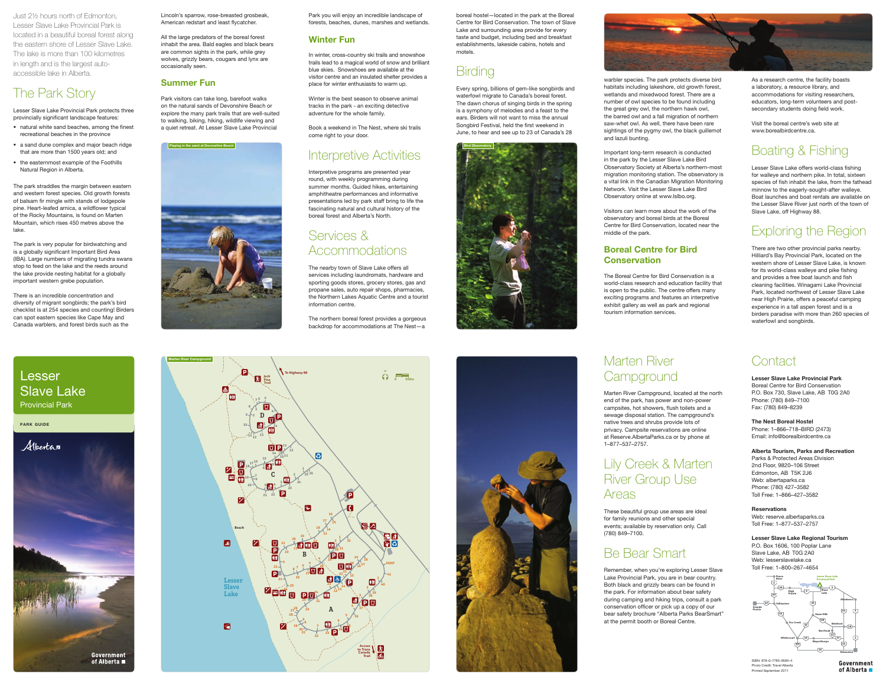boreal hostel—located in the park at the Boreal Centre for Bird Conservation. The town of Slave Lake and surrounding area provide for every taste and budget, including bed and breakfast establishments, lakeside cabins, hotels and





Every spring, billions of gem-like songbirds and waterfowl migrate to Canada's boreal forest. The dawn chorus of singing birds in the spring is a symphony of melodies and a feast to the ears. Birders will not want to miss the annual Songbird Festival, held the first weekend in June, to hear and see up to 23 of Canada's 28





Lincoln's sparrow, rose-breasted grosbeak, American redstart and least flycatcher.

- natural white sand beaches, among the finest recreational beaches in the province
- a sand dune complex and major beach ridge that are more than 1500 years old; and
- the easternmost example of the Foothills Natural Region in Alberta.

All the large predators of the boreal forest inhabit the area. Bald eagles and black bears are common sights in the park, while grey wolves, grizzly bears, cougars and lynx are occasionally seen.

### Summer Fun

Park visitors can take long, barefoot walks on the natural sands of Devonshire Beach or explore the many park trails that are well-suited to walking, biking, hiking, wildlife viewing and a quiet retreat. At Lesser Slave Lake Provincial

park guide



## Lesser Slave Lake Provincial Park

Just 2½ hours north of Edmonton, Lesser Slave Lake Provincial Park is located in a beautiful boreal forest along the eastern shore of Lesser Slave Lake. The lake is more than 100 kilometres in length and is the largest autoaccessible lake in Alberta.

# Marten River **Campground**

# The Park Story

Lesser Slave Lake Provincial Park protects three provincially significant landscape features:

The park straddles the margin between eastern and western forest species. Old growth forests of balsam fir mingle with stands of lodgepole pine. Heart-leafed arnica, a wildflower typical of the Rocky Mountains, is found on Marten Mountain, which rises 450 metres above the lake.



The park is very popular for birdwatching and is a globally significant Important Bird Area (IBA). Large numbers of migrating tundra swans stop to feed on the lake and the reeds around the lake provide nesting habitat for a globally important western grebe population.

# Services & **Accommodations**

There is an incredible concentration and diversity of migrant songbirds; the park's bird checklist is at 254 species and counting! Birders can spot eastern species like Cape May and Canada warblers, and forest birds such as the

> Lesser Slave Lake Provincial Park Boreal Centre for Bird Conservation P.O. Box 730, Slave Lake, AB T0G 2A0 Phone: (780) 849–7100 Fax: (780) 849–8239

#### The Nest Boreal Hostel

Phone: 1–866–718–BIRD (2473) Email: info@borealbirdcentre.ca

#### Alberta Tourism, Parks and Recreation

### Boreal Centre for Bird **Conservation**

Parks & Protected Areas Division 2nd Floor, 9820–106 Street Edmonton, AB T5K 2J6 Web: albertaparks.ca Phone: (780) 427–3582 Toll Free: 1–866–427–3582

#### **Reservations**

Web: reserve.albertaparks.ca Toll Free: 1–877–537–2757

#### Lesser Slave Lake Regional Tourism

P.O. Box 1606, 100 Poplar Lane Slave Lake, AB T0G 2A0 Web: lesserslavelake.ca Toll Free: 1–800–267–4654

Marten River Campground, located at the north end of the park, has power and non-power campsites, hot showers, flush toilets and a sewage disposal station. The campground's native trees and shrubs provide lots of privacy. Campsite reservations are online at Reserve.AlbertaParks.ca or by phone at 1–877–537–2757.

# Lily Creek & Marten River Group Use Areas

These beautiful group use areas are ideal for family reunions and other special events; available by reservation only. Call (780) 849–7100.

# Be Bear Smart

Remember, when you're exploring Lesser Slave Lake Provincial Park, you are in bear country. Both black and grizzly bears can be found in the park. For information about bear safety during camping and hiking trips, consult a park conservation officer or pick up a copy of our bear safety brochure "Alberta Parks BearSmart" at the permit booth or Boreal Centre.

> ISBN: 978–0–7785–9585–4 Photo Credit: Travel Alberta Printed September 2011

Park you will enjoy an incredible landscape of forests, beaches, dunes, marshes and wetlands.

### Winter Fun

In winter, cross-country ski trails and snowshoe trails lead to a magical world of snow and brilliant blue skies. Snowshoes are available at the visitor centre and an insulated shelter provides a place for winter enthusiasts to warm up.

Winter is the best season to observe animal tracks in the park - an exciting detective adventure for the whole family.

Book a weekend in The Nest, where ski trails come right to your door.

# Interpretive Activities

Interpretive programs are presented year round, with weekly programming during summer months. Guided hikes, entertaining amphitheatre performances and informative presentations led by park staff bring to life the fascinating natural and cultural history of the boreal forest and Alberta's North.

The nearby town of Slave Lake offers all services including laundromats, hardware and sporting goods stores, grocery stores, gas and propane sales, auto repair shops, pharmacies, the Northern Lakes Aquatic Centre and a tourist information centre.

The northern boreal forest provides a gorgeous backdrop for accommodations at The Nest—a

warbler species. The park protects diverse bird habitats including lakeshore, old growth forest, wetlands and mixedwood forest. There are a number of owl species to be found including the great grey owl, the northern hawk owl, the barred owl and a fall migration of northern saw-whet owl. As well, there have been rare sightings of the pygmy owl, the black guillemot and lazuli bunting.

Important long-term research is conducted in the park by the Lesser Slave Lake Bird Observatory Society at Alberta's northern-most migration monitoring station. The observatory is a vital link in the Canadian Migration Monitoring Network. Visit the Lesser Slave Lake Bird Observatory online at www.lslbo.org.

Visitors can learn more about the work of the observatory and boreal birds at the Boreal Centre for Bird Conservation, located near the middle of the park.

The Boreal Centre for Bird Conservation is a world-class research and education facility that is open to the public. The centre offers many exciting programs and features an interpretive exhibit gallery as well as park and regional tourism information services.

As a research centre, the facility boasts a laboratory, a resource library, and accommodations for visiting researchers, educators, long-term volunteers and postsecondary students doing field work.

Visit the boreal centre's web site at www.borealbirdcentre.ca.

# Boating & Fishing

Lesser Slave Lake offers world-class fishing for walleye and northern pike. In total, sixteen species of fish inhabit the lake, from the fathead minnow to the eagerly-sought-after walleye. Boat launches and boat rentals are available on the Lesser Slave River just north of the town of Slave Lake, off Highway 88.

# Exploring the Region

There are two other provincial parks nearby. Hilliard's Bay Provincial Park, located on the western shore of Lesser Slave Lake, is known for its world-class walleye and pike fishing and provides a free boat launch and fish cleaning facilities. Winagami Lake Provincial Park, located northwest of Lesser Slave Lake near High Prairie, offers a peaceful camping experience in a tall aspen forest and is a birders paradise with more than 260 species of waterfowl and songbirds.

# **Contact**





Government of Alberta  $\blacksquare$